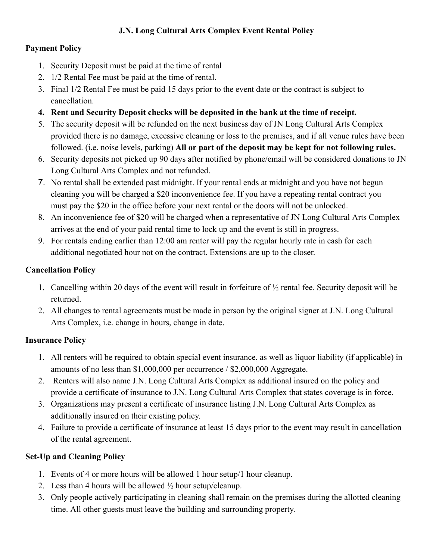# **J.N. Long Cultural Arts Complex Event Rental Policy**

# **Payment Policy**

- 1. Security Deposit must be paid at the time of rental
- 2. 1/2 Rental Fee must be paid at the time of rental.
- 3. Final 1/2 Rental Fee must be paid 15 days prior to the event date or the contract is subject to cancellation.
- **4. Rent and Security Deposit checks will be deposited in the bank at the time of receipt.**
- 5. The security deposit will be refunded on the next business day of JN Long Cultural Arts Complex provided there is no damage, excessive cleaning or loss to the premises, and if all venue rules have been followed. (i.e. noise levels, parking) **All or part of the deposit may be kept for not following rules.**
- 6. Security deposits not picked up 90 days after notified by phone/email will be considered donations to JN Long Cultural Arts Complex and not refunded.
- 7. No rental shall be extended past midnight. If your rental ends at midnight and you have not begun cleaning you will be charged a \$20 inconvenience fee. If you have a repeating rental contract you must pay the \$20 in the office before your next rental or the doors will not be unlocked.
- 8. An inconvenience fee of \$20 will be charged when a representative of JN Long Cultural Arts Complex arrives at the end of your paid rental time to lock up and the event is still in progress.
- 9. For rentals ending earlier than 12:00 am renter will pay the regular hourly rate in cash for each additional negotiated hour not on the contract. Extensions are up to the closer.

# **Cancellation Policy**

- 1. Cancelling within 20 days of the event will result in forfeiture of ½ rental fee. Security deposit will be returned.
- 2. All changes to rental agreements must be made in person by the original signer at J.N. Long Cultural Arts Complex, i.e. change in hours, change in date.

# **Insurance Policy**

- 1. All renters will be required to obtain special event insurance, as well as liquor liability (if applicable) in amounts of no less than \$1,000,000 per occurrence / \$2,000,000 Aggregate.
- 2. Renters will also name J.N. Long Cultural Arts Complex as additional insured on the policy and provide a certificate of insurance to J.N. Long Cultural Arts Complex that states coverage is in force.
- 3. Organizations may present a certificate of insurance listing J.N. Long Cultural Arts Complex as additionally insured on their existing policy.
- 4. Failure to provide a certificate of insurance at least 15 days prior to the event may result in cancellation of the rental agreement.

# **Set-Up and Cleaning Policy**

- 1. Events of 4 or more hours will be allowed 1 hour setup/1 hour cleanup.
- 2. Less than 4 hours will be allowed  $\frac{1}{2}$  hour setup/cleanup.
- 3. Only people actively participating in cleaning shall remain on the premises during the allotted cleaning time. All other guests must leave the building and surrounding property.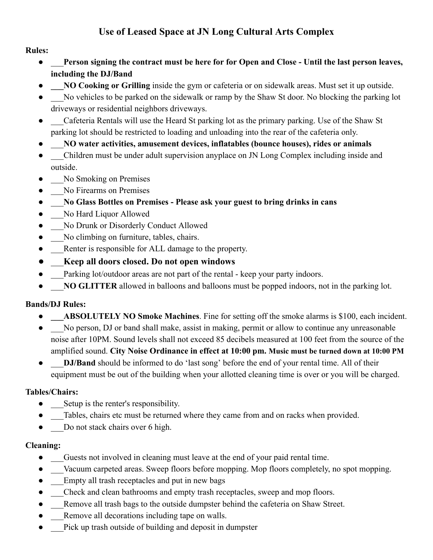# **Use of Leased Space at JN Long Cultural Arts Complex**

#### **Rules:**

- \_\_\_**Person signing the contract must be here for for Open and Close Until the last person leaves, including the DJ/Band**
- **NO Cooking or Grilling** inside the gym or cafeteria or on sidewalk areas. Must set it up outside.
- No vehicles to be parked on the sidewalk or ramp by the Shaw St door. No blocking the parking lot driveways or residential neighbors driveways.
- Cafeteria Rentals will use the Heard St parking lot as the primary parking. Use of the Shaw St parking lot should be restricted to loading and unloading into the rear of the cafeteria only.
- **●** \_\_\_**NO water activities, amusement devices, inflatables (bounce houses), rides or animals**
- Children must be under adult supervision anyplace on JN Long Complex including inside and outside.
- No Smoking on Premises
- No Firearms on Premises
- **●** \_\_\_**No Glass Bottles on Premises Please ask your guest to bring drinks in cans**
- No Hard Liquor Allowed
- No Drunk or Disorderly Conduct Allowed
- No climbing on furniture, tables, chairs.
- Renter is responsible for ALL damage to the property.
- **●** \_\_\_**Keep all doors closed. Do not open windows**
- Parking lot/outdoor areas are not part of the rental keep your party indoors.
- NO GLITTER allowed in balloons and balloons must be popped indoors, not in the parking lot.

# **Bands/DJ Rules:**

- **ABSOLUTELY NO Smoke Machines.** Fine for setting off the smoke alarms is \$100, each incident.
- No person, DJ or band shall make, assist in making, permit or allow to continue any unreasonable noise after 10PM. Sound levels shall not exceed 85 decibels measured at 100 feet from the source of the amplified sound. **City Noise Ordinance in effect at 10:00 pm. Music must be turned down at 10:00 PM**
- **DJ/Band** should be informed to do 'last song' before the end of your rental time. All of their equipment must be out of the building when your allotted cleaning time is over or you will be charged.

# **Tables/Chairs:**

- Setup is the renter's responsibility.
- Tables, chairs etc must be returned where they came from and on racks when provided.
- Do not stack chairs over 6 high.

# **Cleaning:**

- Guests not involved in cleaning must leave at the end of your paid rental time.
- Vacuum carpeted areas. Sweep floors before mopping. Mop floors completely, no spot mopping.
- Empty all trash receptacles and put in new bags
- Check and clean bathrooms and empty trash receptacles, sweep and mop floors.
- Remove all trash bags to the outside dumpster behind the cafeteria on Shaw Street.
- Remove all decorations including tape on walls.
- Pick up trash outside of building and deposit in dumpster